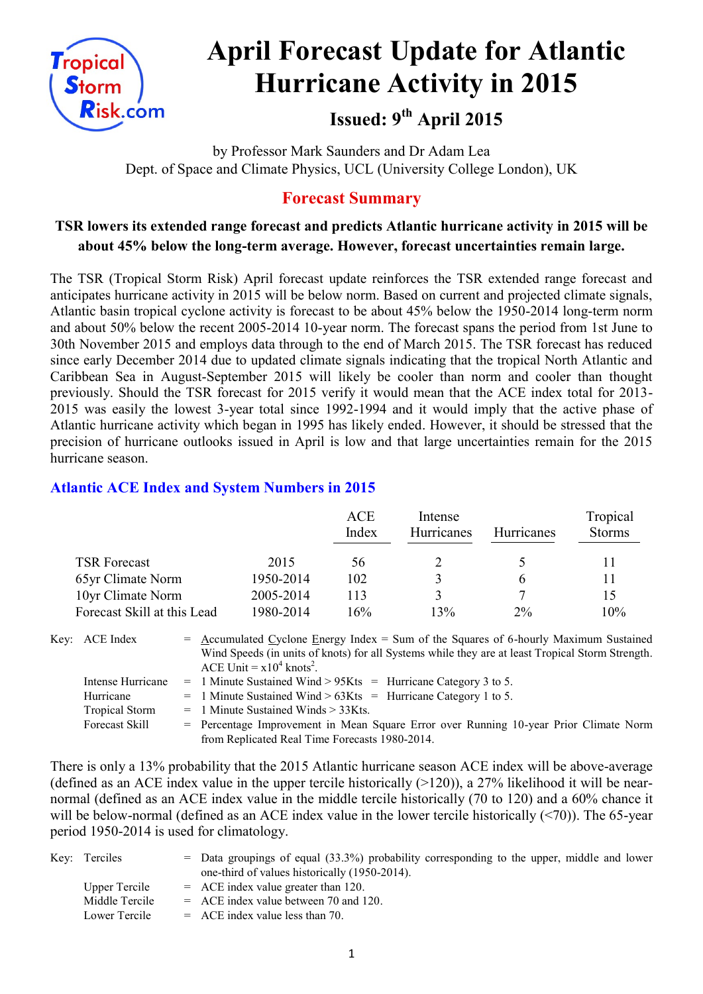

# **April Forecast Update for Atlantic Hurricane Activity in 2015**

## **Issued: 9 th April 2015**

by Professor Mark Saunders and Dr Adam Lea Dept. of Space and Climate Physics, UCL (University College London), UK

#### **Forecast Summary**

#### **TSR lowers its extended range forecast and predicts Atlantic hurricane activity in 2015 will be about 45% below the long-term average. However, forecast uncertainties remain large.**

The TSR (Tropical Storm Risk) April forecast update reinforces the TSR extended range forecast and anticipates hurricane activity in 2015 will be below norm. Based on current and projected climate signals, Atlantic basin tropical cyclone activity is forecast to be about 45% below the 1950-2014 long-term norm and about 50% below the recent 2005-2014 10-year norm. The forecast spans the period from 1st June to 30th November 2015 and employs data through to the end of March 2015. The TSR forecast has reduced since early December 2014 due to updated climate signals indicating that the tropical North Atlantic and Caribbean Sea in August-September 2015 will likely be cooler than norm and cooler than thought previously. Should the TSR forecast for 2015 verify it would mean that the ACE index total for 2013- 2015 was easily the lowest 3-year total since 1992-1994 and it would imply that the active phase of Atlantic hurricane activity which began in 1995 has likely ended. However, it should be stressed that the precision of hurricane outlooks issued in April is low and that large uncertainties remain for the 2015 hurricane season.

#### **Atlantic ACE Index and System Numbers in 2015**

|                             |           | ACE<br>Index | Intense<br>Hurricanes | <b>Hurricanes</b> | Tropical<br><b>Storms</b> |
|-----------------------------|-----------|--------------|-----------------------|-------------------|---------------------------|
| <b>TSR Forecast</b>         | 2015      | 56           |                       |                   |                           |
| 65yr Climate Norm           | 1950-2014 | 102          |                       | h                 |                           |
| 10yr Climate Norm           | 2005-2014 | 113          | 3                     |                   | 15                        |
| Forecast Skill at this Lead | 1980-2014 | 16%          | 13%                   | $2\%$             | 10%                       |

Key: ACE Index  $=$  Accumulated Cyclone Energy Index = Sum of the Squares of 6-hourly Maximum Sustained Wind Speeds (in units of knots) for all Systems while they are at least Tropical Storm Strength. ACE Unit =  $x10^4$  knots<sup>2</sup>. Intense Hurricane = 1 Minute Sustained Wind >  $95K$ ts = Hurricane Category 3 to 5.

| Intense Hurricane | $-$ 1 minute sustained wind $>$ 95Kts $-$ Hurricane Category 5 to 5. |  |
|-------------------|----------------------------------------------------------------------|--|
| Hurricane         | $=$ 1 Minute Sustained Wind > 63Kts $=$ Hurricane Category 1 to 5.   |  |

Tropical Storm = 1 Minute Sustained Winds > 33Kts.

Forecast Skill = Percentage Improvement in Mean Square Error over Running 10-year Prior Climate Norm from Replicated Real Time Forecasts 1980-2014.

There is only a 13% probability that the 2015 Atlantic hurricane season ACE index will be above-average (defined as an ACE index value in the upper tercile historically  $(>120)$ ), a 27% likelihood it will be nearnormal (defined as an ACE index value in the middle tercile historically (70 to 120) and a 60% chance it will be below-normal (defined as an ACE index value in the lower tercile historically  $(\leq 70)$ ). The 65-year period 1950-2014 is used for climatology.

| Key: Terciles  | $=$ Data groupings of equal (33.3%) probability corresponding to the upper, middle and lower<br>one-third of values historically (1950-2014). |
|----------------|-----------------------------------------------------------------------------------------------------------------------------------------------|
| Upper Tercile  | $=$ ACE index value greater than 120.                                                                                                         |
| Middle Tercile | $=$ ACE index value between 70 and 120.                                                                                                       |
| Lower Tercile  | $=$ ACE index value less than 70.                                                                                                             |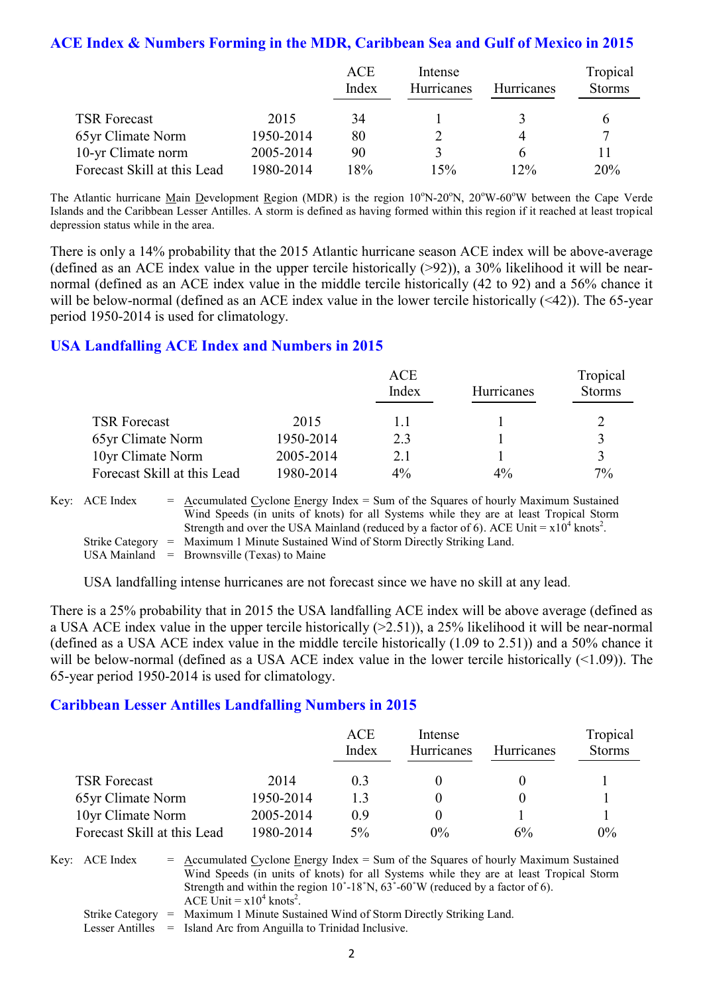#### **ACE Index & Numbers Forming in the MDR, Caribbean Sea and Gulf of Mexico in 2015**

|                             |           | ACE   | Intense    |                   | Tropical      |
|-----------------------------|-----------|-------|------------|-------------------|---------------|
|                             |           | Index | Hurricanes | <b>Hurricanes</b> | <b>Storms</b> |
| <b>TSR Forecast</b>         | 2015      | 34    |            |                   |               |
| 65yr Climate Norm           | 1950-2014 | 80    |            |                   | 7             |
| 10-yr Climate norm          | 2005-2014 | 90    |            | h                 |               |
| Forecast Skill at this Lead | 1980-2014 | l 8%  | 15%        | 12%               | 20%           |

The Atlantic hurricane Main Development Region (MDR) is the region  $10^{\circ}$ N-20<sup>o</sup>N,  $20^{\circ}$ W-60<sup>o</sup>W between the Cape Verde Islands and the Caribbean Lesser Antilles. A storm is defined as having formed within this region if it reached at least tropical depression status while in the area.

There is only a 14% probability that the 2015 Atlantic hurricane season ACE index will be above-average (defined as an ACE index value in the upper tercile historically  $(>92)$ ), a 30% likelihood it will be nearnormal (defined as an ACE index value in the middle tercile historically (42 to 92) and a 56% chance it will be below-normal (defined as an ACE index value in the lower tercile historically (<42)). The 65-year period 1950-2014 is used for climatology.

#### **USA Landfalling ACE Index and Numbers in 2015**

|                             |           | ACE<br>Index | Hurricanes | Tropical<br><b>Storms</b> |
|-----------------------------|-----------|--------------|------------|---------------------------|
| <b>TSR Forecast</b>         | 2015      | 11           |            |                           |
| 65yr Climate Norm           | 1950-2014 | 23           |            | 3                         |
| 10yr Climate Norm           | 2005-2014 | 21           |            | $\mathbf 3$               |
| Forecast Skill at this Lead | 1980-2014 | $4\%$        | $4\%$      | $7\%$                     |

Key:  $\text{ACE Index} = \text{Accumulated Cvelone Energy Index} = \text{Sum of the Squares of hourly Maximum Sustainable.}$ Wind Speeds (in units of knots) for all Systems while they are at least Tropical Storm Strength and over the USA Mainland (reduced by a factor of 6). ACE Unit =  $x10^4$  knots<sup>2</sup>. Strike Category = Maximum 1 Minute Sustained Wind of Storm Directly Striking Land. USA Mainland  $=$  Brownsville (Texas) to Maine

USA landfalling intense hurricanes are not forecast since we have no skill at any lead.

There is a 25% probability that in 2015 the USA landfalling ACE index will be above average (defined as a USA ACE index value in the upper tercile historically (>2.51)), a 25% likelihood it will be near-normal (defined as a USA ACE index value in the middle tercile historically (1.09 to 2.51)) and a 50% chance it will be below-normal (defined as a USA ACE index value in the lower tercile historically (<1.09)). The 65-year period 1950-2014 is used for climatology.

#### **Caribbean Lesser Antilles Landfalling Numbers in 2015**

|                             |           | ACE<br>Index   | Intense<br>Hurricanes | <b>Hurricanes</b> | Tropical<br><b>Storms</b> |
|-----------------------------|-----------|----------------|-----------------------|-------------------|---------------------------|
| <b>TSR Forecast</b>         | 2014      | 0 <sup>3</sup> |                       |                   |                           |
| 65yr Climate Norm           | 1950-2014 | 13             |                       |                   |                           |
| 10yr Climate Norm           | 2005-2014 | 09             |                       |                   |                           |
| Forecast Skill at this Lead | 1980-2014 | $5\%$          | $0\%$                 | 6%                | $0\%$                     |

Key:  $ACE Index = Accumulated Cyclone Energy Index = Sum of the Squares of hourly Maximum Sustainable$ Wind Speeds (in units of knots) for all Systems while they are at least Tropical Storm Strength and within the region  $10^{\circ}$ -18°N,  $63^{\circ}$ -60°W (reduced by a factor of 6). ACE Unit =  $x10^4$  knots<sup>2</sup>. Strike Category = Maximum 1 Minute Sustained Wind of Storm Directly Striking Land.

Lesser Antilles = Island Arc from Anguilla to Trinidad Inclusive.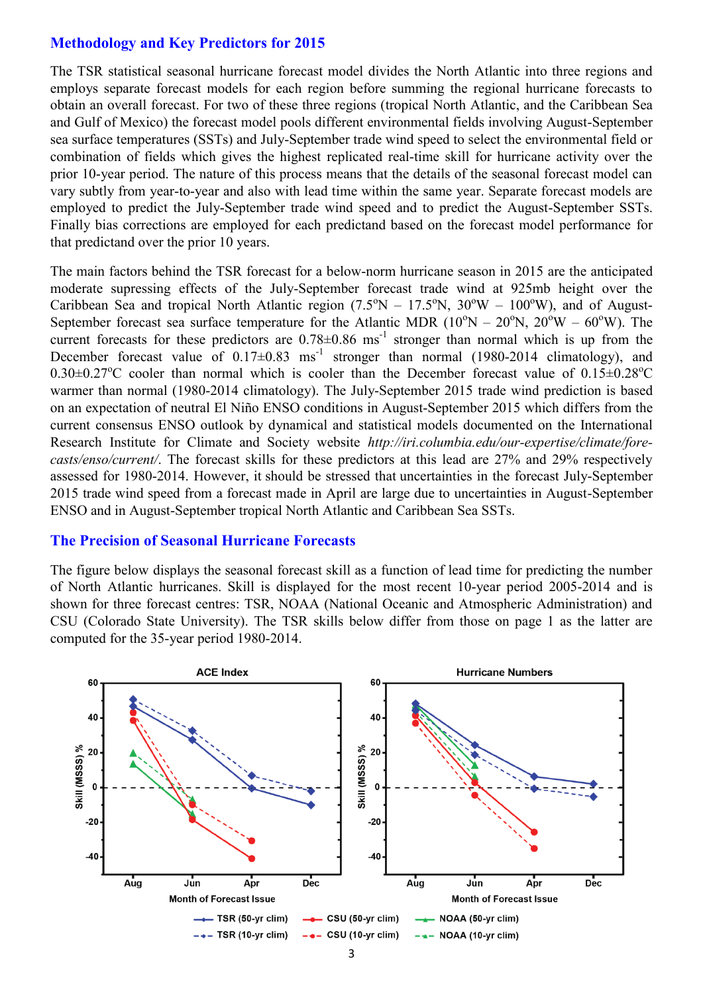#### **Methodology and Key Predictors for 2015**

The TSR statistical seasonal hurricane forecast model divides the North Atlantic into three regions and employs separate forecast models for each region before summing the regional hurricane forecasts to obtain an overall forecast. For two of these three regions (tropical North Atlantic, and the Caribbean Sea and Gulf of Mexico) the forecast model pools different environmental fields involving August-September sea surface temperatures (SSTs) and July-September trade wind speed to select the environmental field or combination of fields which gives the highest replicated real-time skill for hurricane activity over the prior 10-year period. The nature of this process means that the details of the seasonal forecast model can vary subtly from year-to-year and also with lead time within the same year. Separate forecast models are employed to predict the July-September trade wind speed and to predict the August-September SSTs. Finally bias corrections are employed for each predictand based on the forecast model performance for that predictand over the prior 10 years.

The main factors behind the TSR forecast for a below-norm hurricane season in 2015 are the anticipated moderate supressing effects of the July-September forecast trade wind at 925mb height over the Caribbean Sea and tropical North Atlantic region  $(7.5^{\circ}N - 17.5^{\circ}N, 30^{\circ}W - 100^{\circ}W)$ , and of August-September forecast sea surface temperature for the Atlantic MDR ( $10^{\circ}N - 20^{\circ}N$ ,  $20^{\circ}W - 60^{\circ}W$ ). The current forecasts for these predictors are  $0.78 \pm 0.86$  ms<sup>-1</sup> stronger than normal which is up from the December forecast value of  $0.17 \pm 0.83$  ms<sup>-1</sup> stronger than normal (1980-2014 climatology), and  $0.30\pm0.27^{\circ}$ C cooler than normal which is cooler than the December forecast value of  $0.15\pm0.28^{\circ}$ C warmer than normal (1980-2014 climatology). The July-September 2015 trade wind prediction is based on an expectation of neutral El Niño ENSO conditions in August-September 2015 which differs from the current consensus ENSO outlook by dynamical and statistical models documented on the International Research Institute for Climate and Society website *http://iri.columbia.edu/our-expertise/climate/forecasts/enso/current/*. The forecast skills for these predictors at this lead are 27% and 29% respectively assessed for 1980-2014. However, it should be stressed that uncertainties in the forecast July-September 2015 trade wind speed from a forecast made in April are large due to uncertainties in August-September ENSO and in August-September tropical North Atlantic and Caribbean Sea SSTs.

#### **The Precision of Seasonal Hurricane Forecasts**

The figure below displays the seasonal forecast skill as a function of lead time for predicting the number of North Atlantic hurricanes. Skill is displayed for the most recent 10-year period 2005-2014 and is shown for three forecast centres: TSR, NOAA (National Oceanic and Atmospheric Administration) and CSU (Colorado State University). The TSR skills below differ from those on page 1 as the latter are computed for the 35-year period 1980-2014.

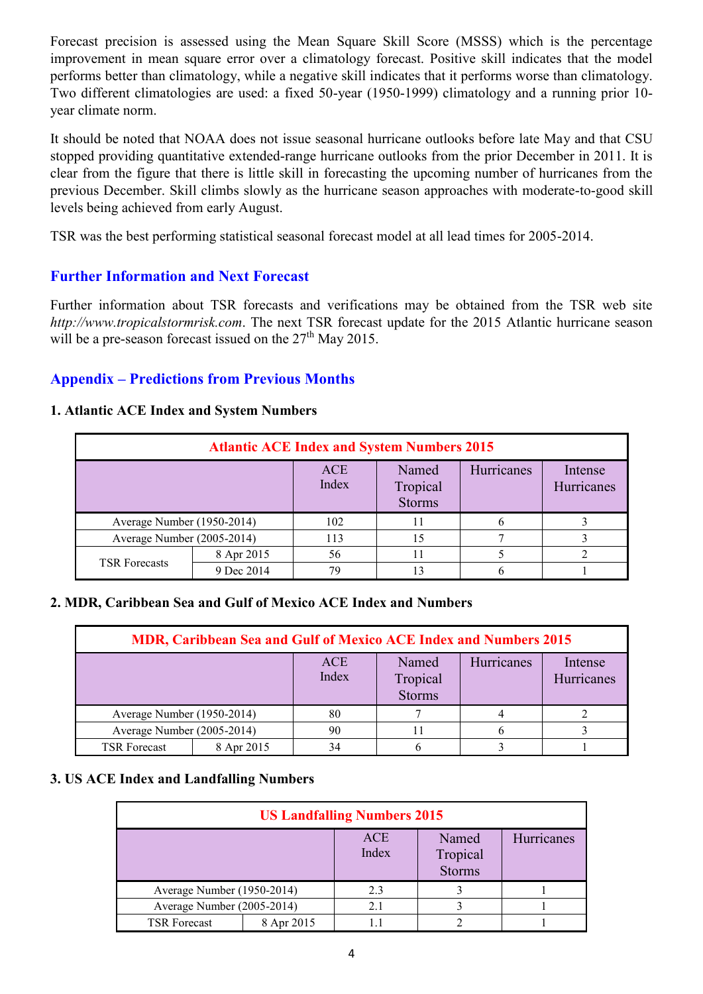Forecast precision is assessed using the Mean Square Skill Score (MSSS) which is the percentage improvement in mean square error over a climatology forecast. Positive skill indicates that the model performs better than climatology, while a negative skill indicates that it performs worse than climatology. Two different climatologies are used: a fixed 50-year (1950-1999) climatology and a running prior 10 year climate norm.

It should be noted that NOAA does not issue seasonal hurricane outlooks before late May and that CSU stopped providing quantitative extended-range hurricane outlooks from the prior December in 2011. It is clear from the figure that there is little skill in forecasting the upcoming number of hurricanes from the previous December. Skill climbs slowly as the hurricane season approaches with moderate-to-good skill levels being achieved from early August.

TSR was the best performing statistical seasonal forecast model at all lead times for 2005-2014.

#### **Further Information and Next Forecast**

Further information about TSR forecasts and verifications may be obtained from the TSR web site *http://www.tropicalstormrisk.com*. The next TSR forecast update for the 2015 Atlantic hurricane season will be a pre-season forecast issued on the  $27<sup>th</sup>$  May 2015.

#### **Appendix – Predictions from Previous Months**

#### **1. Atlantic ACE Index and System Numbers**

| <b>Atlantic ACE Index and System Numbers 2015</b> |            |                     |                                    |            |                       |  |  |
|---------------------------------------------------|------------|---------------------|------------------------------------|------------|-----------------------|--|--|
|                                                   |            | <b>ACE</b><br>Index | Named<br>Tropical<br><b>Storms</b> | Hurricanes | Intense<br>Hurricanes |  |  |
| Average Number (1950-2014)                        |            | 102                 | 11                                 |            |                       |  |  |
| Average Number (2005-2014)                        |            | 113                 | 15                                 |            |                       |  |  |
| <b>TSR Forecasts</b>                              | 8 Apr 2015 | 56                  | 11                                 |            |                       |  |  |
|                                                   | 9 Dec 2014 | 70                  |                                    |            |                       |  |  |

#### **2. MDR, Caribbean Sea and Gulf of Mexico ACE Index and Numbers**

| <b>MDR, Caribbean Sea and Gulf of Mexico ACE Index and Numbers 2015</b> |            |                     |                                    |                   |                       |  |  |
|-------------------------------------------------------------------------|------------|---------------------|------------------------------------|-------------------|-----------------------|--|--|
|                                                                         |            | <b>ACE</b><br>Index | Named<br>Tropical<br><b>Storms</b> | <b>Hurricanes</b> | Intense<br>Hurricanes |  |  |
| Average Number (1950-2014)                                              |            | 80                  |                                    |                   |                       |  |  |
| Average Number (2005-2014)                                              |            | 90                  |                                    |                   |                       |  |  |
| <b>TSR Forecast</b>                                                     | 8 Apr 2015 |                     |                                    |                   |                       |  |  |

#### **3. US ACE Index and Landfalling Numbers**

| <b>US Landfalling Numbers 2015</b> |            |                     |                                    |            |  |  |
|------------------------------------|------------|---------------------|------------------------------------|------------|--|--|
|                                    |            | <b>ACE</b><br>Index | Named<br>Tropical<br><b>Storms</b> | Hurricanes |  |  |
| Average Number (1950-2014)         |            | 2.3                 |                                    |            |  |  |
| Average Number (2005-2014)         |            | 2.1                 |                                    |            |  |  |
| <b>TSR Forecast</b>                | 8 Apr 2015 |                     |                                    |            |  |  |